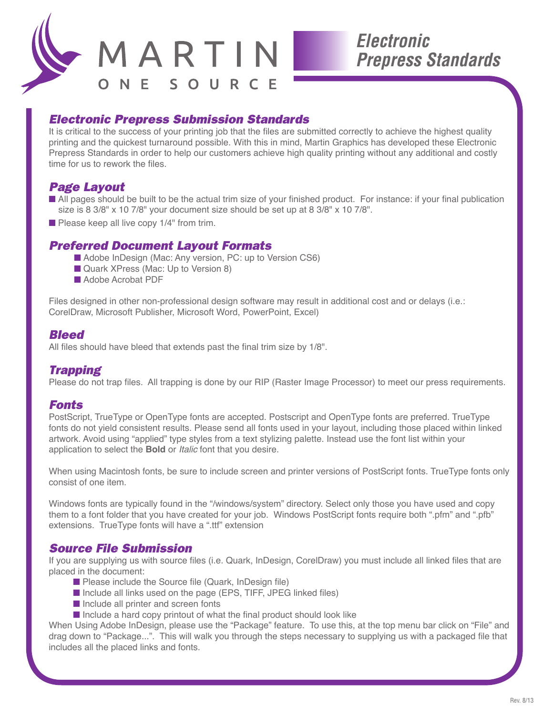

### *Electronic Prepress Submission Standards*

It is critical to the success of your printing job that the files are submitted correctly to achieve the highest quality printing and the quickest turnaround possible. With this in mind, Martin Graphics has developed these Electronic Prepress Standards in order to help our customers achieve high quality printing without any additional and costly time for us to rework the files.

## *Page Layout*

- All pages should be built to be the actual trim size of your finished product. For instance: if your final publication size is 8 3/8" x 10 7/8" your document size should be set up at 8 3/8" x 10 7/8".
- Please keep all live copy 1/4" from trim.

### *Preferred Document Layout Formats*

- Adobe InDesign (Mac: Any version, PC: up to Version CS6)
- Quark XPress (Mac: Up to Version 8)
- Adobe Acrobat PDF

Files designed in other non-professional design software may result in additional cost and or delays (i.e.: CorelDraw, Microsoft Publisher, Microsoft Word, PowerPoint, Excel)

### *Bleed*

All files should have bleed that extends past the final trim size by 1/8".

#### *Trapping*

Please do not trap files. All trapping is done by our RIP (Raster Image Processor) to meet our press requirements.

#### *Fonts*

PostScript, TrueType or OpenType fonts are accepted. Postscript and OpenType fonts are preferred. TrueType fonts do not yield consistent results. Please send all fonts used in your layout, including those placed within linked artwork. Avoid using "applied" type styles from a text stylizing palette. Instead use the font list within your application to select the **Bold** or *Italic* font that you desire.

When using Macintosh fonts, be sure to include screen and printer versions of PostScript fonts. TrueType fonts only consist of one item.

Windows fonts are typically found in the "/windows/system" directory. Select only those you have used and copy them to a font folder that you have created for your job. Windows PostScript fonts require both ".pfm" and ".pfb" extensions. TrueType fonts will have a ".ttf" extension

#### *Source File Submission*

If you are supplying us with source files (i.e. Quark, InDesign, CorelDraw) you must include all linked files that are placed in the document:

- Please include the Source file (Quark, InDesign file)
- Include all links used on the page (EPS, TIFF, JPEG linked files)
- Include all printer and screen fonts
- Include a hard copy printout of what the final product should look like

When Using Adobe InDesign, please use the "Package" feature. To use this, at the top menu bar click on "File" and drag down to "Package...". This will walk you through the steps necessary to supplying us with a packaged file that includes all the placed links and fonts.